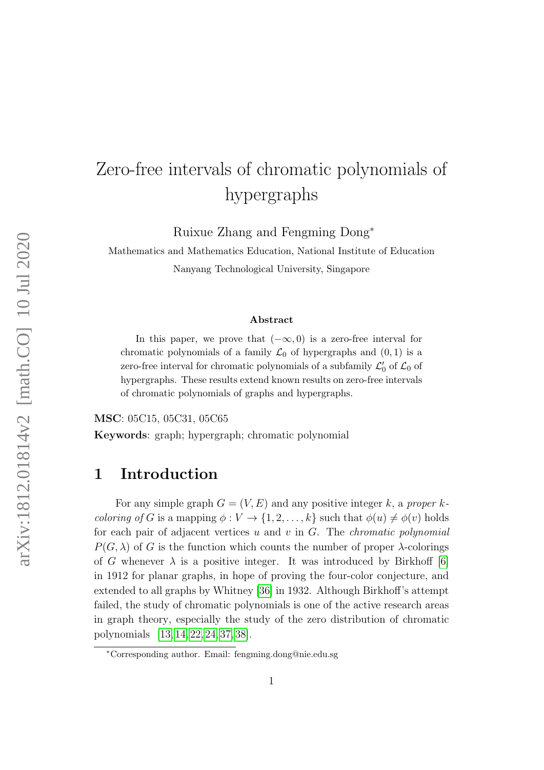# Zero-free intervals of chromatic polynomials of hypergraphs

Ruixue Zhang and Fengming Dong<sup>∗</sup>

Mathematics and Mathematics Education, National Institute of Education Nanyang Technological University, Singapore

#### Abstract

In this paper, we prove that  $(-\infty, 0)$  is a zero-free interval for chromatic polynomials of a family  $\mathcal{L}_0$  of hypergraphs and  $(0, 1)$  is a zero-free interval for chromatic polynomials of a subfamily  $\mathcal{L}'_0$  of  $\mathcal{L}_0$  of hypergraphs. These results extend known results on zero-free intervals of chromatic polynomials of graphs and hypergraphs.

MSC: 05C15, 05C31, 05C65

Keywords: graph; hypergraph; chromatic polynomial

#### 1 Introduction

For any simple graph  $G = (V, E)$  and any positive integer k, a proper k*coloring of G* is a mapping  $\phi: V \to \{1, 2, ..., k\}$  such that  $\phi(u) \neq \phi(v)$  holds for each pair of adjacent vertices  $u$  and  $v$  in  $G$ . The *chromatic polynomial*  $P(G, \lambda)$  of G is the function which counts the number of proper  $\lambda$ -colorings of G whenever  $\lambda$  is a positive integer. It was introduced by Birkhoff [\[6\]](#page-12-0) in 1912 for planar graphs, in hope of proving the four-color conjecture, and extended to all graphs by Whitney [\[36\]](#page-15-0) in 1932. Although Birkhoff's attempt failed, the study of chromatic polynomials is one of the active research areas in graph theory, especially the study of the zero distribution of chromatic polynomials [\[13,](#page-13-0) [14,](#page-13-1) [22,](#page-14-0) [24,](#page-14-1) [37,](#page-15-1) [38\]](#page-15-2).

<sup>∗</sup>Corresponding author. Email: fengming.dong@nie.edu.sg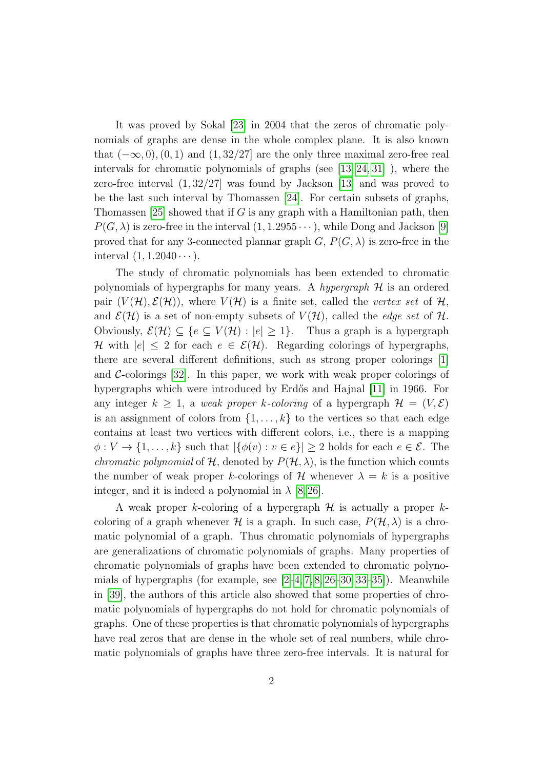It was proved by Sokal [\[23\]](#page-14-2) in 2004 that the zeros of chromatic polynomials of graphs are dense in the whole complex plane. It is also known that  $(-\infty, 0)$ ,  $(0, 1)$  and  $(1, 32/27]$  are the only three maximal zero-free real intervals for chromatic polynomials of graphs (see [\[13,](#page-13-0) [24,](#page-14-1) [31\]](#page-14-3) ), where the zero-free interval (1, 32/27] was found by Jackson [\[13\]](#page-13-0) and was proved to be the last such interval by Thomassen [\[24\]](#page-14-1). For certain subsets of graphs, Thomassen  $[25]$  showed that if G is any graph with a Hamiltonian path, then  $P(G, \lambda)$  is zero-free in the interval  $(1, 1.2955 \cdots)$ , while Dong and Jackson [\[9\]](#page-12-1) proved that for any 3-connected plannar graph  $G, P(G, \lambda)$  is zero-free in the interval  $(1, 1.2040 \cdots)$ .

The study of chromatic polynomials has been extended to chromatic polynomials of hypergraphs for many years. A hypergraph  $H$  is an ordered pair  $(V(\mathcal{H}), \mathcal{E}(\mathcal{H}))$ , where  $V(\mathcal{H})$  is a finite set, called the vertex set of  $\mathcal{H}$ , and  $\mathcal{E}(\mathcal{H})$  is a set of non-empty subsets of  $V(\mathcal{H})$ , called the *edge set* of  $\mathcal{H}$ . Obviously,  $\mathcal{E}(\mathcal{H}) \subseteq \{e \subseteq V(\mathcal{H}) : |e| \geq 1\}.$  Thus a graph is a hypergraph H with  $|e| \leq 2$  for each  $e \in \mathcal{E}(\mathcal{H})$ . Regarding colorings of hypergraphs, there are several different definitions, such as strong proper colorings [\[1\]](#page-12-2) and  $\mathcal{C}\text{-colorings}$  [\[32\]](#page-14-5). In this paper, we work with weak proper colorings of hypergraphs which were introduced by Erdős and Hajnal [\[11\]](#page-13-2) in 1966. For any integer  $k \geq 1$ , a weak proper k-coloring of a hypergraph  $\mathcal{H} = (V, \mathcal{E})$ is an assignment of colors from  $\{1, \ldots, k\}$  to the vertices so that each edge contains at least two vertices with different colors, i.e., there is a mapping  $\phi: V \to \{1, \ldots, k\}$  such that  $|\{\phi(v): v \in e\}| \geq 2$  holds for each  $e \in \mathcal{E}$ . The *chromatic polynomial* of  $H$ , denoted by  $P(H, \lambda)$ , is the function which counts the number of weak proper k-colorings of H whenever  $\lambda = k$  is a positive integer, and it is indeed a polynomial in  $\lambda$  [\[8,](#page-12-3) [26\]](#page-14-6).

A weak proper k-coloring of a hypergraph  $\mathcal H$  is actually a proper kcoloring of a graph whenever  $\mathcal H$  is a graph. In such case,  $P(\mathcal H, \lambda)$  is a chromatic polynomial of a graph. Thus chromatic polynomials of hypergraphs are generalizations of chromatic polynomials of graphs. Many properties of chromatic polynomials of graphs have been extended to chromatic polynomials of hypergraphs (for example, see  $[2-4, 7, 8, 26-30, 33-35]$  $[2-4, 7, 8, 26-30, 33-35]$  $[2-4, 7, 8, 26-30, 33-35]$  $[2-4, 7, 8, 26-30, 33-35]$  $[2-4, 7, 8, 26-30, 33-35]$  $[2-4, 7, 8, 26-30, 33-35]$  $[2-4, 7, 8, 26-30, 33-35]$  $[2-4, 7, 8, 26-30, 33-35]$ ). Meanwhile in [\[39\]](#page-15-3), the authors of this article also showed that some properties of chromatic polynomials of hypergraphs do not hold for chromatic polynomials of graphs. One of these properties is that chromatic polynomials of hypergraphs have real zeros that are dense in the whole set of real numbers, while chromatic polynomials of graphs have three zero-free intervals. It is natural for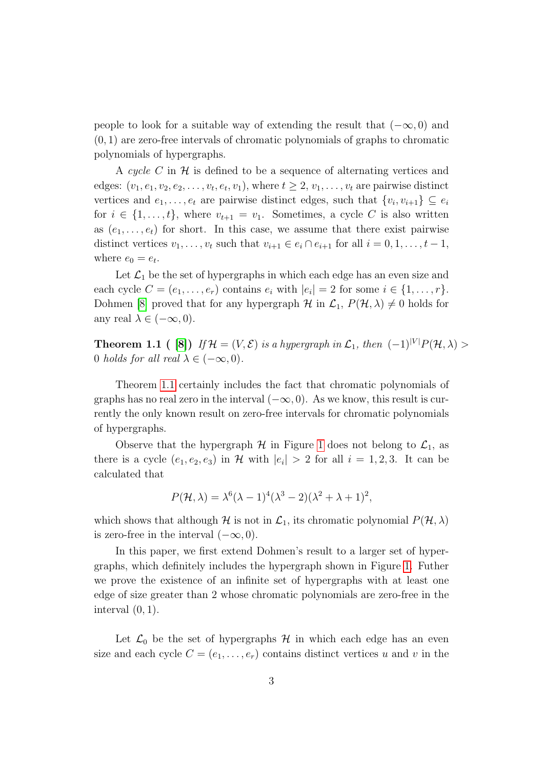people to look for a suitable way of extending the result that  $(-\infty, 0)$  and (0, 1) are zero-free intervals of chromatic polynomials of graphs to chromatic polynomials of hypergraphs.

A cycle C in  $\mathcal H$  is defined to be a sequence of alternating vertices and edges:  $(v_1, e_1, v_2, e_2, \ldots, v_t, e_t, v_1)$ , where  $t \geq 2, v_1, \ldots, v_t$  are pairwise distinct vertices and  $e_1, \ldots, e_t$  are pairwise distinct edges, such that  $\{v_i, v_{i+1}\} \subseteq e_i$ for  $i \in \{1, \ldots, t\}$ , where  $v_{t+1} = v_1$ . Sometimes, a cycle C is also written as  $(e_1, \ldots, e_t)$  for short. In this case, we assume that there exist pairwise distinct vertices  $v_1, \ldots, v_t$  such that  $v_{i+1} \in e_i \cap e_{i+1}$  for all  $i = 0, 1, \ldots, t-1$ , where  $e_0 = e_t$ .

Let  $\mathcal{L}_1$  be the set of hypergraphs in which each edge has an even size and each cycle  $C = (e_1, \ldots, e_r)$  contains  $e_i$  with  $|e_i| = 2$  for some  $i \in \{1, \ldots, r\}$ . Dohmen [\[8\]](#page-12-3) proved that for any hypergraph  $\mathcal H$  in  $\mathcal L_1$ ,  $P(\mathcal H, \lambda) \neq 0$  holds for any real  $\lambda \in (-\infty, 0)$ .

<span id="page-2-0"></span>**Theorem 1.1** ( [\[8\]](#page-12-3)) If  $\mathcal{H} = (V, \mathcal{E})$  is a hypergraph in  $\mathcal{L}_1$ , then  $(-1)^{|V|}P(\mathcal{H}, \lambda)$ 0 holds for all real  $\lambda \in (-\infty, 0)$ .

Theorem [1.1](#page-2-0) certainly includes the fact that chromatic polynomials of graphs has no real zero in the interval  $(-\infty, 0)$ . As we know, this result is currently the only known result on zero-free intervals for chromatic polynomials of hypergraphs.

Observe that the hypergraph  $H$  in Figure [1](#page-3-0) does not belong to  $\mathcal{L}_1$ , as there is a cycle  $(e_1, e_2, e_3)$  in H with  $|e_i| > 2$  for all  $i = 1, 2, 3$ . It can be calculated that

$$
P(\mathcal{H}, \lambda) = \lambda^6 (\lambda - 1)^4 (\lambda^3 - 2)(\lambda^2 + \lambda + 1)^2,
$$

which shows that although H is not in  $\mathcal{L}_1$ , its chromatic polynomial  $P(\mathcal{H}, \lambda)$ is zero-free in the interval  $(-\infty, 0)$ .

In this paper, we first extend Dohmen's result to a larger set of hypergraphs, which definitely includes the hypergraph shown in Figure [1.](#page-3-0) Futher we prove the existence of an infinite set of hypergraphs with at least one edge of size greater than 2 whose chromatic polynomials are zero-free in the interval  $(0, 1)$ .

Let  $\mathcal{L}_0$  be the set of hypergraphs  $\mathcal{H}$  in which each edge has an even size and each cycle  $C = (e_1, \ldots, e_r)$  contains distinct vertices u and v in the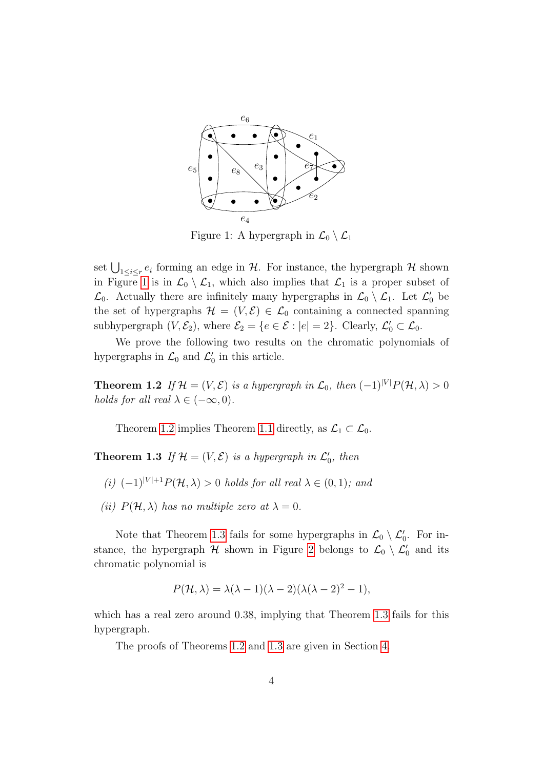

<span id="page-3-0"></span>Figure 1: A hypergraph in  $\mathcal{L}_0 \setminus \mathcal{L}_1$ 

set  $\bigcup_{1 \leq i \leq r} e_i$  forming an edge in  $\mathcal{H}$ . For instance, the hypergraph  $\mathcal{H}$  shown in Figure [1](#page-3-0) is in  $\mathcal{L}_0 \setminus \mathcal{L}_1$ , which also implies that  $\mathcal{L}_1$  is a proper subset of  $\mathcal{L}_0$ . Actually there are infinitely many hypergraphs in  $\mathcal{L}_0 \setminus \mathcal{L}_1$ . Let  $\mathcal{L}'_0$  be the set of hypergraphs  $\mathcal{H} = (V, \mathcal{E}) \in \mathcal{L}_0$  containing a connected spanning subhypergraph  $(V, \mathcal{E}_2)$ , where  $\mathcal{E}_2 = \{e \in \mathcal{E} : |e| = 2\}$ . Clearly,  $\mathcal{L}'_0 \subset \mathcal{L}_0$ .

We prove the following two results on the chromatic polynomials of hypergraphs in  $\mathcal{L}_0$  and  $\mathcal{L}'_0$  in this article.

<span id="page-3-1"></span>**Theorem 1.2** If  $\mathcal{H} = (V, \mathcal{E})$  is a hypergraph in  $\mathcal{L}_0$ , then  $(-1)^{|V|}P(\mathcal{H}, \lambda) > 0$ holds for all real  $\lambda \in (-\infty, 0)$ .

Theorem [1.2](#page-3-1) implies Theorem [1.1](#page-2-0) directly, as  $\mathcal{L}_1 \subset \mathcal{L}_0$ .

<span id="page-3-2"></span>**Theorem 1.3** If  $\mathcal{H} = (V, \mathcal{E})$  is a hypergraph in  $\mathcal{L}'_0$ , then

- (i)  $(-1)^{|V|+1}P(H, \lambda) > 0$  holds for all real  $\lambda \in (0, 1)$ ; and
- (ii)  $P(\mathcal{H}, \lambda)$  has no multiple zero at  $\lambda = 0$ .

Note that Theorem [1.3](#page-3-2) fails for some hypergraphs in  $\mathcal{L}_0 \setminus \mathcal{L}'_0$ . For instance, the hypergraph  $H$  shown in Figure [2](#page-4-0) belongs to  $\mathcal{L}_0 \setminus \mathcal{L}'_0$  and its chromatic polynomial is

$$
P(\mathcal{H}, \lambda) = \lambda(\lambda - 1)(\lambda - 2)(\lambda(\lambda - 2)^2 - 1),
$$

which has a real zero around 0.38, implying that Theorem [1.3](#page-3-2) fails for this hypergraph.

The proofs of Theorems [1.2](#page-3-1) and [1.3](#page-3-2) are given in Section [4.](#page-9-0)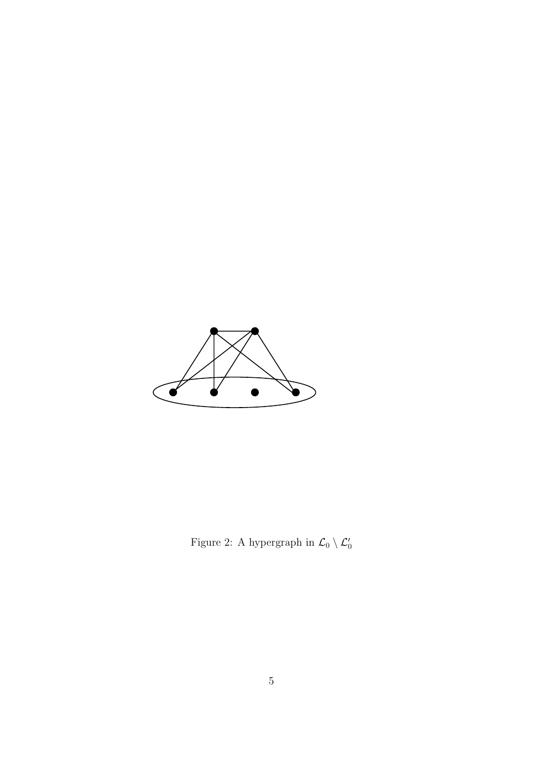

<span id="page-4-0"></span>Figure 2: A hypergraph in  $\mathcal{L}_0 \setminus \mathcal{L}'_0$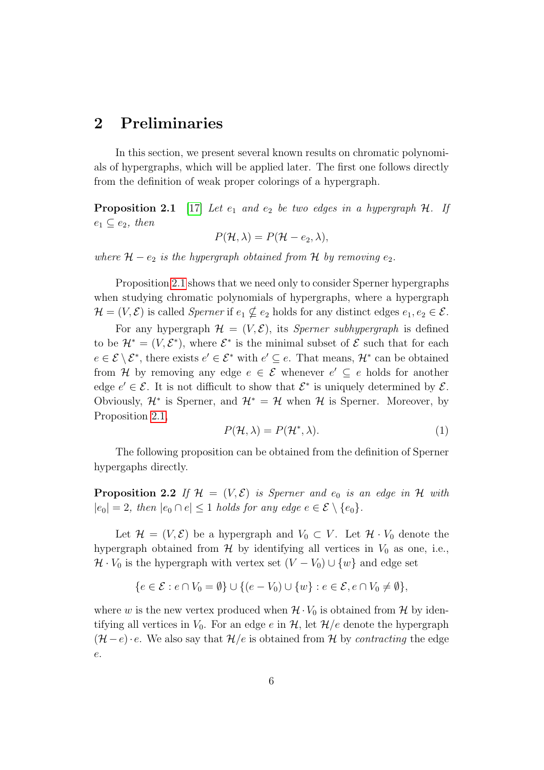## 2 Preliminaries

In this section, we present several known results on chromatic polynomials of hypergraphs, which will be applied later. The first one follows directly from the definition of weak proper colorings of a hypergraph.

<span id="page-5-0"></span>**Proposition 2.1** [\[17\]](#page-13-3) Let  $e_1$  and  $e_2$  be two edges in a hypergraph  $H$ . If  $e_1 \subseteq e_2$ , then

$$
P(\mathcal{H}, \lambda) = P(\mathcal{H} - e_2, \lambda),
$$

where  $H - e_2$  is the hypergraph obtained from H by removing  $e_2$ .

Proposition [2.1](#page-5-0) shows that we need only to consider Sperner hypergraphs when studying chromatic polynomials of hypergraphs, where a hypergraph  $\mathcal{H} = (V, \mathcal{E})$  is called *Sperner* if  $e_1 \nsubseteq e_2$  holds for any distinct edges  $e_1, e_2 \in \mathcal{E}$ .

For any hypergraph  $\mathcal{H} = (V, \mathcal{E})$ , its *Sperner subhypergraph* is defined to be  $\mathcal{H}^* = (V, \mathcal{E}^*)$ , where  $\mathcal{E}^*$  is the minimal subset of  $\mathcal{E}$  such that for each  $e \in \mathcal{E} \setminus \mathcal{E}^*$ , there exists  $e' \in \mathcal{E}^*$  with  $e' \subseteq e$ . That means,  $\mathcal{H}^*$  can be obtained from H by removing any edge  $e \in \mathcal{E}$  whenever  $e' \subseteq e$  holds for another edge  $e' \in \mathcal{E}$ . It is not difficult to show that  $\mathcal{E}^*$  is uniquely determined by  $\mathcal{E}$ . Obviously,  $\mathcal{H}^*$  is Sperner, and  $\mathcal{H}^* = \mathcal{H}$  when  $\mathcal{H}$  is Sperner. Moreover, by Proposition [2.1,](#page-5-0)

<span id="page-5-2"></span>
$$
P(\mathcal{H}, \lambda) = P(\mathcal{H}^*, \lambda). \tag{1}
$$

The following proposition can be obtained from the definition of Sperner hypergaphs directly.

<span id="page-5-1"></span>**Proposition 2.2** If  $\mathcal{H} = (V, \mathcal{E})$  is Sperner and  $e_0$  is an edge in  $\mathcal{H}$  with  $|e_0| = 2$ , then  $|e_0 \cap e| \leq 1$  holds for any edge  $e \in \mathcal{E} \setminus \{e_0\}.$ 

Let  $\mathcal{H} = (V, \mathcal{E})$  be a hypergraph and  $V_0 \subset V$ . Let  $\mathcal{H} \cdot V_0$  denote the hypergraph obtained from  $H$  by identifying all vertices in  $V_0$  as one, i.e.,  $\mathcal{H} \cdot V_0$  is the hypergraph with vertex set  $(V - V_0) \cup \{w\}$  and edge set

$$
\{e \in \mathcal{E} : e \cap V_0 = \emptyset\} \cup \{(e - V_0) \cup \{w\} : e \in \mathcal{E}, e \cap V_0 \neq \emptyset\},\
$$

where w is the new vertex produced when  $\mathcal{H} \cdot V_0$  is obtained from  $\mathcal{H}$  by identifying all vertices in  $V_0$ . For an edge e in H, let  $\mathcal{H}/e$  denote the hypergraph  $(\mathcal{H}-e)\cdot e$ . We also say that  $\mathcal{H}/e$  is obtained from H by *contracting* the edge e.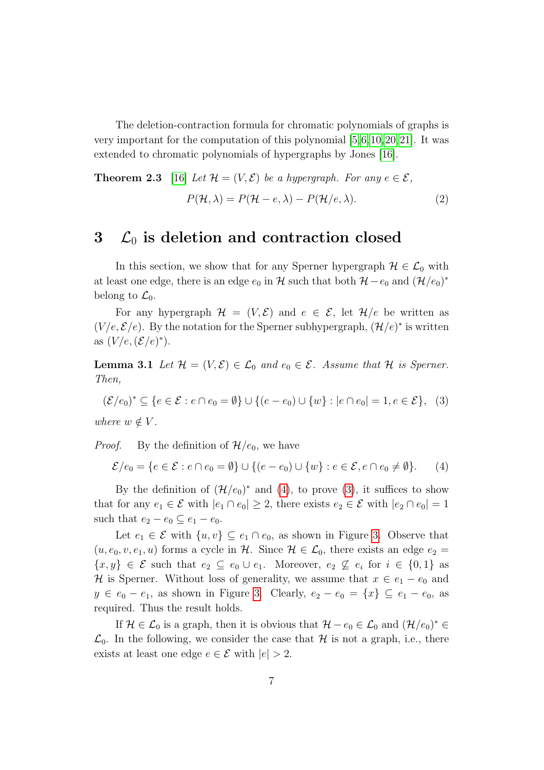The deletion-contraction formula for chromatic polynomials of graphs is very important for the computation of this polynomial [\[5,](#page-12-7)[6,](#page-12-0)[10,](#page-13-4)[20,](#page-13-5)[21\]](#page-13-6). It was extended to chromatic polynomials of hypergraphs by Jones [\[16\]](#page-13-7).

<span id="page-6-3"></span>**Theorem 2.3** [16] Let 
$$
\mathcal{H} = (V, \mathcal{E})
$$
 be a hypergraph. For any  $e \in \mathcal{E}$ ,  

$$
P(\mathcal{H}, \lambda) = P(\mathcal{H} - e, \lambda) - P(\mathcal{H}/e, \lambda).
$$
 (2)

#### $3\,\mathcal{L}_0$  is deletion and contraction closed

In this section, we show that for any Sperner hypergraph  $\mathcal{H} \in \mathcal{L}_0$  with at least one edge, there is an edge  $e_0$  in H such that both  $\mathcal{H} - e_0$  and  $(\mathcal{H}/e_0)^*$ belong to  $\mathcal{L}_0$ .

For any hypergraph  $\mathcal{H} = (V, \mathcal{E})$  and  $e \in \mathcal{E}$ , let  $\mathcal{H}/e$  be written as  $(V/e, \mathcal{E}/e)$ . By the notation for the Sperner subhypergraph,  $(\mathcal{H}/e)^*$  is written as  $(V/e, (\mathcal{E}/e)^*)$ .

<span id="page-6-2"></span>**Lemma 3.1** Let  $\mathcal{H} = (V, \mathcal{E}) \in \mathcal{L}_0$  and  $e_0 \in \mathcal{E}$ . Assume that  $\mathcal{H}$  is Sperner. Then,

<span id="page-6-1"></span>
$$
(\mathcal{E}/e_0)^* \subseteq \{e \in \mathcal{E} : e \cap e_0 = \emptyset\} \cup \{(e - e_0) \cup \{w\} : |e \cap e_0| = 1, e \in \mathcal{E}\},\tag{3}
$$

where  $w \notin V$ .

*Proof.* By the definition of  $\mathcal{H}/e_0$ , we have

<span id="page-6-0"></span>
$$
\mathcal{E}/e_0 = \{e \in \mathcal{E} : e \cap e_0 = \emptyset\} \cup \{(e - e_0) \cup \{w\} : e \in \mathcal{E}, e \cap e_0 \neq \emptyset\}.
$$
 (4)

By the definition of  $(\mathcal{H}/e_0)^*$  and [\(4\)](#page-6-0), to prove [\(3\)](#page-6-1), it suffices to show that for any  $e_1 \in \mathcal{E}$  with  $|e_1 \cap e_0| \geq 2$ , there exists  $e_2 \in \mathcal{E}$  with  $|e_2 \cap e_0| = 1$ such that  $e_2 - e_0 \subseteq e_1 - e_0$ .

Let  $e_1 \in \mathcal{E}$  with  $\{u, v\} \subseteq e_1 \cap e_0$ , as shown in Figure [3.](#page-7-0) Observe that  $(u, e_0, v, e_1, u)$  forms a cycle in H. Since  $\mathcal{H} \in \mathcal{L}_0$ , there exists an edge  $e_2 =$  $\{x,y\} \in \mathcal{E}$  such that  $e_2 \subseteq e_0 \cup e_1$ . Moreover,  $e_2 \nsubseteq e_i$  for  $i \in \{0,1\}$  as H is Sperner. Without loss of generality, we assume that  $x \in e_1 - e_0$  and  $y \in e_0 - e_1$ , as shown in Figure [3.](#page-7-0) Clearly,  $e_2 - e_0 = \{x\} \subseteq e_1 - e_0$ , as required. Thus the result holds.

<span id="page-6-4"></span>If  $\mathcal{H} \in \mathcal{L}_0$  is a graph, then it is obvious that  $\mathcal{H} - e_0 \in \mathcal{L}_0$  and  $(\mathcal{H}/e_0)^* \in$  $\mathcal{L}_0$ . In the following, we consider the case that H is not a graph, i.e., there exists at least one edge  $e \in \mathcal{E}$  with  $|e| > 2$ .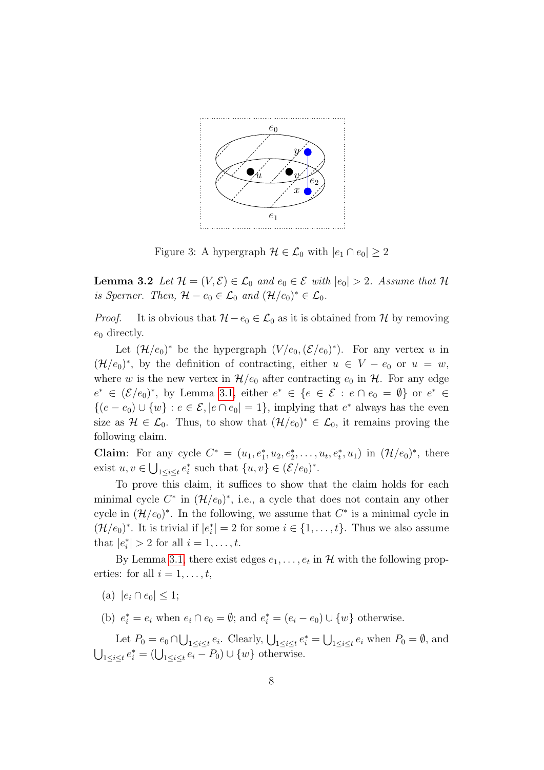

<span id="page-7-0"></span>Figure 3: A hypergraph  $\mathcal{H} \in \mathcal{L}_0$  with  $|e_1 \cap e_0| \geq 2$ 

**Lemma 3.2** Let  $\mathcal{H} = (V, \mathcal{E}) \in \mathcal{L}_0$  and  $e_0 \in \mathcal{E}$  with  $|e_0| > 2$ . Assume that  $\mathcal{H}$ is Sperner. Then,  $\mathcal{H} - e_0 \in \mathcal{L}_0$  and  $(\mathcal{H}/e_0)^* \in \mathcal{L}_0$ .

*Proof.* It is obvious that  $\mathcal{H} - e_0 \in \mathcal{L}_0$  as it is obtained from  $\mathcal{H}$  by removing  $e_0$  directly.

Let  $(\mathcal{H}/e_0)^*$  be the hypergraph  $(V/e_0, (\mathcal{E}/e_0)^*)$ . For any vertex u in  $(\mathcal{H}/e_0)^*$ , by the definition of contracting, either  $u \in V - e_0$  or  $u = w$ , where w is the new vertex in  $\mathcal{H}/e_0$  after contracting  $e_0$  in  $\mathcal{H}$ . For any edge  $e^* \in (\mathcal{E}/e_0)^*$ , by Lemma [3.1,](#page-6-2) either  $e^* \in \{e \in \mathcal{E} : e \cap e_0 = \emptyset\}$  or  $e^* \in$  $\{(e - e_0) \cup \{w\} : e \in \mathcal{E}, |e \cap e_0| = 1\},\$ implying that  $e^*$  always has the even size as  $\mathcal{H} \in \mathcal{L}_0$ . Thus, to show that  $(\mathcal{H}/e_0)^* \in \mathcal{L}_0$ , it remains proving the following claim.

**Claim**: For any cycle  $C^* = (u_1, e_1^*, u_2, e_2^*, \dots, u_t, e_t^*, u_1)$  in  $(\mathcal{H}/e_0)^*$ , there exist  $u, v \in \bigcup_{1 \leq i \leq t} e_i^*$  such that  $\{u, v\} \in (\mathcal{E}/e_0)^*$ .

To prove this claim, it suffices to show that the claim holds for each minimal cycle  $C^*$  in  $(\mathcal{H}/e_0)^*$ , i.e., a cycle that does not contain any other cycle in  $(\mathcal{H}/e_0)^*$ . In the following, we assume that  $C^*$  is a minimal cycle in  $(\mathcal{H}/e_0)^*$ . It is trivial if  $|e_i^*|=2$  for some  $i \in \{1,\ldots,t\}$ . Thus we also assume that  $|e_i^*| > 2$  for all  $i = 1, ..., t$ .

By Lemma [3.1,](#page-6-2) there exist edges  $e_1, \ldots, e_t$  in  $\mathcal H$  with the following properties: for all  $i = 1, \ldots, t$ ,

(a)  $|e_i \cap e_0| \leq 1$ ;

(b)  $e_i^* = e_i$  when  $e_i \cap e_0 = \emptyset$ ; and  $e_i^* = (e_i - e_0) \cup \{w\}$  otherwise.

Let  $P_0 = e_0 \cap \bigcup_{1 \leq i \leq t} e_i$ . Clearly,  $\bigcup_{1 \leq i \leq t} e_i^* = \bigcup_{1 \leq i \leq t} e_i$  when  $P_0 = \emptyset$ , and  $\bigcup_{1 \leq i \leq t} e_i^* = (\bigcup_{1 \leq i \leq t} e_i - P_0) \cup \{w\}$  otherwise.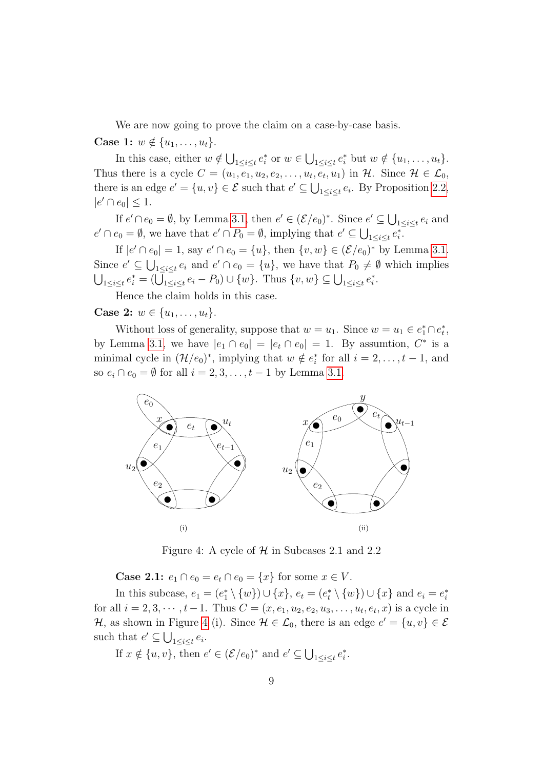We are now going to prove the claim on a case-by-case basis.

**Case 1:**  $w \notin \{u_1, \ldots, u_t\}.$ 

In this case, either  $w \notin \bigcup_{1 \leq i \leq t} e_i^*$  or  $w \in \bigcup_{1 \leq i \leq t} e_i^*$  but  $w \notin \{u_1, \ldots, u_t\}.$ Thus there is a cycle  $C = (u_1, e_1, u_2, e_2, \dots, u_t, e_t, u_1)$  in  $H$ . Since  $H \in \mathcal{L}_0$ , there is an edge  $e' = \{u, v\} \in \mathcal{E}$  such that  $e' \subseteq \bigcup_{1 \leq i \leq t} e_i$ . By Proposition [2.2,](#page-5-1)  $|e' \cap e_0| \leq 1.$ 

If  $e' \cap e_0 = \emptyset$ , by Lemma [3.1,](#page-6-2) then  $e' \in (\mathcal{E}/e_0)^*$ . Since  $e' \subseteq \bigcup_{1 \leq i \leq t} e_i$  and  $e' \cap e_0 = \emptyset$ , we have that  $e' \cap P_0 = \emptyset$ , implying that  $e' \subseteq \bigcup_{1 \leq i \leq t} e_i^*$ .

If  $|e' \cap e_0| = 1$ , say  $e' \cap e_0 = \{u\}$ , then  $\{v, w\} \in (\mathcal{E}/e_0)^*$  by Lemma [3.1.](#page-6-2) Since  $e' \subseteq \bigcup_{1 \leq i \leq t} e_i$  and  $e' \cap e_0 = \{u\}$ , we have that  $P_0 \neq \emptyset$  which implies  $\bigcup_{1 \leq i \leq t} e_i^* = (\bigcup_{1 \leq i \leq t} e_i - P_0) \cup \{w\}.$  Thus  $\{v, w\} \subseteq \bigcup_{1 \leq i \leq t} e_i^*$ .

Hence the claim holds in this case.

**Case 2:**  $w \in \{u_1, \ldots, u_t\}.$ 

Without loss of generality, suppose that  $w = u_1$ . Since  $w = u_1 \in e_1^* \cap e_t^*$ , by Lemma [3.1,](#page-6-2) we have  $|e_1 \cap e_0| = |e_t \cap e_0| = 1$ . By assumtion,  $C^*$  is a minimal cycle in  $(\mathcal{H}/e_0)^*$ , implying that  $w \notin e_i^*$  for all  $i = 2, \ldots, t - 1$ , and so  $e_i \cap e_0 = \emptyset$  for all  $i = 2, 3, \ldots, t - 1$  by Lemma [3.1.](#page-6-2)



<span id="page-8-0"></span>Figure 4: A cycle of  $H$  in Subcases 2.1 and 2.2

**Case 2.1:**  $e_1 \cap e_0 = e_t \cap e_0 = \{x\}$  for some  $x \in V$ .

In this subcase,  $e_1 = (e_1^* \setminus \{w\}) \cup \{x\}$ ,  $e_t = (e_t^* \setminus \{w\}) \cup \{x\}$  and  $e_i = e_i^*$ for all  $i = 2, 3, \dots, t-1$ . Thus  $C = (x, e_1, u_2, e_2, u_3, \dots, u_t, e_t, x)$  is a cycle in H, as shown in Figure [4](#page-8-0) (i). Since  $\mathcal{H} \in \mathcal{L}_0$ , there is an edge  $e' = \{u, v\} \in \mathcal{E}$ such that  $e' \subseteq \bigcup_{1 \leq i \leq t} e_i$ .

If  $x \notin \{u, v\}$ , then  $e' \in (\mathcal{E}/e_0)^*$  and  $e' \subseteq \bigcup_{1 \leq i \leq t} e_i^*$ .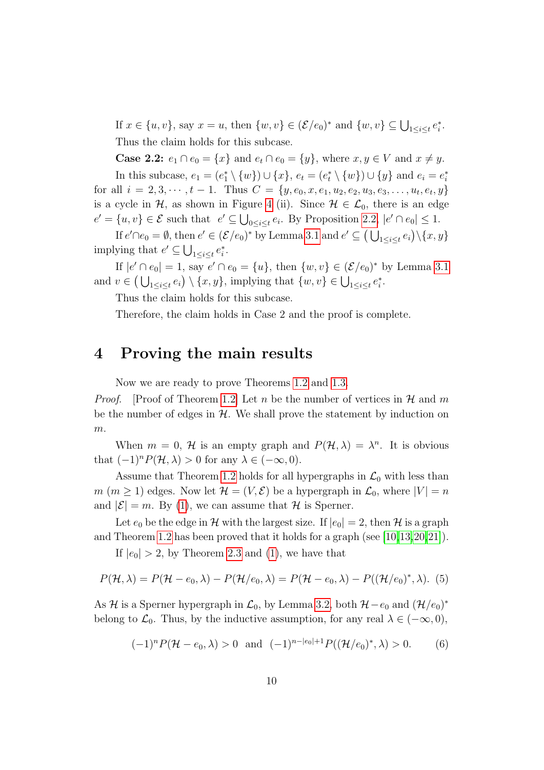If  $x \in \{u, v\}$ , say  $x = u$ , then  $\{w, v\} \in (\mathcal{E}/e_0)^*$  and  $\{w, v\} \subseteq \bigcup_{1 \leq i \leq t} e_i^*$ . Thus the claim holds for this subcase.

**Case 2.2:**  $e_1 \cap e_0 = \{x\}$  and  $e_t \cap e_0 = \{y\}$ , where  $x, y \in V$  and  $x \neq y$ . In this subcase,  $e_1 = (e_1^* \setminus \{w\}) \cup \{x\}$ ,  $e_t = (e_t^* \setminus \{w\}) \cup \{y\}$  and  $e_i = e_i^*$ for all  $i = 2, 3, \cdots, t - 1$ . Thus  $C = \{y, e_0, x, e_1, u_2, e_2, u_3, e_3, \ldots, u_t, e_t, y\}$ is a cycle in  $\mathcal{H}$ , as shown in Figure [4](#page-8-0) (ii). Since  $\mathcal{H} \in \mathcal{L}_0$ , there is an edge  $e' = \{u, v\} \in \mathcal{E}$  such that  $e' \subseteq \bigcup_{0 \leq i \leq t} e_i$ . By Proposition [2.2,](#page-5-1)  $|e' \cap e_0| \leq 1$ .

If  $e' \cap e_0 = \emptyset$ , then  $e' \in (\mathcal{E}/e_0)^*$  by Lemma [3.1](#page-6-2) and  $e' \subseteq (\bigcup_{1 \leq i \leq t} e_i) \setminus \{x, y\}$ implying that  $e' \subseteq \bigcup_{1 \leq i \leq t} e_i^*$ .

If  $|e' \cap e_0| = 1$ , say  $e' \cap e_0 = \{u\}$ , then  $\{w, v\} \in (\mathcal{E}/e_0)^*$  by Lemma [3.1](#page-6-2) and  $v \in (\bigcup_{1 \leq i \leq t} e_i) \setminus \{x, y\}$ , implying that  $\{w, v\} \in \bigcup_{1 \leq i \leq t} e_i^*$ .

Thus the claim holds for this subcase.

Therefore, the claim holds in Case 2 and the proof is complete.

#### <span id="page-9-0"></span>4 Proving the main results

Now we are ready to prove Theorems [1.2](#page-3-1) and [1.3.](#page-3-2)

*Proof.* [Proof of Theorem [1.2\]](#page-3-1) Let n be the number of vertices in  $\mathcal H$  and m be the number of edges in  $H$ . We shall prove the statement by induction on  $m$ .

When  $m = 0$ , H is an empty graph and  $P(\mathcal{H}, \lambda) = \lambda^n$ . It is obvious that  $(-1)^n P(\mathcal{H}, \lambda) > 0$  for any  $\lambda \in (-\infty, 0)$ .

Assume that Theorem [1.2](#page-3-1) holds for all hypergraphs in  $\mathcal{L}_0$  with less than  $m (m \geq 1)$  edges. Now let  $\mathcal{H} = (V, \mathcal{E})$  be a hypergraph in  $\mathcal{L}_0$ , where  $|V| = n$ and  $|\mathcal{E}| = m$ . By [\(1\)](#page-5-2), we can assume that H is Sperner.

Let  $e_0$  be the edge in H with the largest size. If  $|e_0| = 2$ , then H is a graph and Theorem [1.2](#page-3-1) has been proved that it holds for a graph (see [\[10,](#page-13-4)[13,](#page-13-0)[20,](#page-13-5)[21\]](#page-13-6)).

If  $|e_0| > 2$ , by Theorem [2.3](#page-6-3) and [\(1\)](#page-5-2), we have that

<span id="page-9-1"></span>
$$
P(\mathcal{H},\lambda) = P(\mathcal{H} - e_0, \lambda) - P(\mathcal{H}/e_0, \lambda) = P(\mathcal{H} - e_0, \lambda) - P((\mathcal{H}/e_0)^*, \lambda).
$$
 (5)

As H is a Sperner hypergraph in  $\mathcal{L}_0$ , by Lemma [3.2,](#page-6-4) both  $\mathcal{H} - e_0$  and  $(\mathcal{H}/e_0)^*$ belong to  $\mathcal{L}_0$ . Thus, by the inductive assumption, for any real  $\lambda \in (-\infty, 0)$ ,

<span id="page-9-2"></span>
$$
(-1)^n P(\mathcal{H}-e_0,\lambda) > 0 \text{ and } (-1)^{n-|e_0|+1} P((\mathcal{H}/e_0)^*,\lambda) > 0. \tag{6}
$$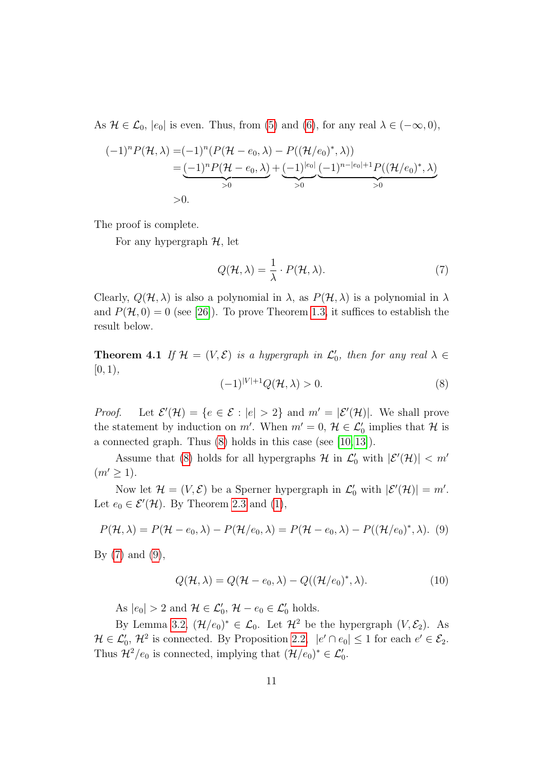As  $\mathcal{H} \in \mathcal{L}_0$ ,  $|e_0|$  is even. Thus, from [\(5\)](#page-9-1) and [\(6\)](#page-9-2), for any real  $\lambda \in (-\infty, 0)$ ,

$$
(-1)^{n} P(\mathcal{H}, \lambda) = (-1)^{n} (P(\mathcal{H} - e_{0}, \lambda) - P((\mathcal{H}/e_{0})^{*}, \lambda))
$$
  
= 
$$
\underbrace{(-1)^{n} P(\mathcal{H} - e_{0}, \lambda)}_{>0} + \underbrace{(-1)^{|e_{0}|}}_{>0} \underbrace{(-1)^{n-|e_{0}|+1} P((\mathcal{H}/e_{0})^{*}, \lambda)}_{>0}
$$
  
>0.

The proof is complete.

For any hypergraph  $H$ , let

<span id="page-10-1"></span>
$$
Q(\mathcal{H}, \lambda) = \frac{1}{\lambda} \cdot P(\mathcal{H}, \lambda).
$$
 (7)

Clearly,  $Q(\mathcal{H}, \lambda)$  is also a polynomial in  $\lambda$ , as  $P(\mathcal{H}, \lambda)$  is a polynomial in  $\lambda$ and  $P(\mathcal{H}, 0) = 0$  (see [\[26\]](#page-14-6)). To prove Theorem [1.3,](#page-3-2) it suffices to establish the result below.

**Theorem 4.1** If  $\mathcal{H} = (V, \mathcal{E})$  is a hypergraph in  $\mathcal{L}'_0$ , then for any real  $\lambda \in$  $[0, 1),$ 

<span id="page-10-0"></span>
$$
(-1)^{|V|+1}Q(\mathcal{H},\lambda) > 0.
$$
\n<sup>(8)</sup>

*Proof.* Let  $\mathcal{E}'(\mathcal{H}) = \{e \in \mathcal{E} : |e| > 2\}$  and  $m' = |\mathcal{E}'(\mathcal{H})|$ . We shall prove the statement by induction on m'. When  $m' = 0$ ,  $\mathcal{H} \in \mathcal{L}'_0$  implies that  $\mathcal{H}$  is a connected graph. Thus  $(8)$  holds in this case (see [\[10,](#page-13-4) [13\]](#page-13-0)).

Assume that [\(8\)](#page-10-0) holds for all hypergraphs  $\mathcal H$  in  $\mathcal L'_0$  with  $|\mathcal E'(\mathcal H)| < m'$  $(m' \geq 1).$ 

Now let  $\mathcal{H} = (V, \mathcal{E})$  be a Sperner hypergraph in  $\mathcal{L}'_0$  with  $|\mathcal{E}'(\mathcal{H})| = m'.$ Let  $e_0 \in \mathcal{E}'(\mathcal{H})$ . By Theorem [2.3](#page-6-3) and [\(1\)](#page-5-2),

<span id="page-10-2"></span>
$$
P(\mathcal{H},\lambda) = P(\mathcal{H} - e_0, \lambda) - P(\mathcal{H}/e_0, \lambda) = P(\mathcal{H} - e_0, \lambda) - P((\mathcal{H}/e_0)^*, \lambda).
$$
 (9)

By  $(7)$  and  $(9)$ ,

<span id="page-10-3"></span>
$$
Q(\mathcal{H}, \lambda) = Q(\mathcal{H} - e_0, \lambda) - Q((\mathcal{H}/e_0)^*, \lambda).
$$
 (10)

As  $|e_0| > 2$  and  $\mathcal{H} \in \mathcal{L}'_0$ ,  $\mathcal{H} - e_0 \in \mathcal{L}'_0$  holds.

By Lemma [3.2,](#page-6-4)  $(\mathcal{H}/e_0)^* \in \mathcal{L}_0$ . Let  $\mathcal{H}^2$  be the hypergraph  $(V, \mathcal{E}_2)$ . As  $\mathcal{H} \in \mathcal{L}'_0$ ,  $\mathcal{H}^2$  is connected. By Proposition [2.2,](#page-5-1)  $|e' \cap e_0| \leq 1$  for each  $e' \in \mathcal{E}_2$ . Thus  $\mathcal{H}^2/e_0$  is connected, implying that  $(\mathcal{H}/e_0)^* \in \mathcal{L}'_0$ .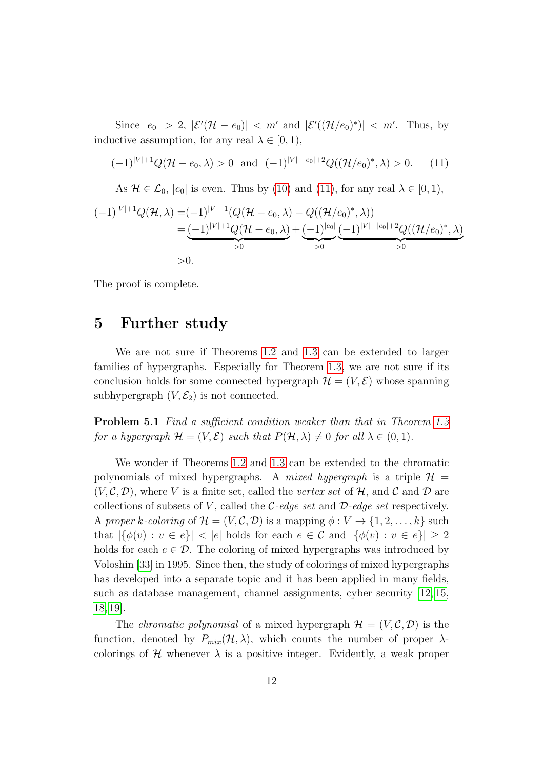Since  $|e_0| > 2$ ,  $|\mathcal{E}'(\mathcal{H} - e_0)| < m'$  and  $|\mathcal{E}'((\mathcal{H}/e_0)^*)| < m'$ . Thus, by inductive assumption, for any real  $\lambda \in [0, 1)$ ,

<span id="page-11-0"></span>
$$
(-1)^{|V|+1}Q(\mathcal{H}-e_0,\lambda) > 0 \text{ and } (-1)^{|V|-|e_0|+2}Q((\mathcal{H}/e_0)^*,\lambda) > 0. \tag{11}
$$

As  $\mathcal{H} \in \mathcal{L}_0$ ,  $|e_0|$  is even. Thus by [\(10\)](#page-10-3) and [\(11\)](#page-11-0), for any real  $\lambda \in [0, 1)$ ,

$$
(-1)^{|V|+1}Q(\mathcal{H},\lambda) = (-1)^{|V|+1}(Q(\mathcal{H}-e_0,\lambda) - Q((\mathcal{H}/e_0)^*,\lambda))
$$
  
= 
$$
\underbrace{(-1)^{|V|+1}Q(\mathcal{H}-e_0,\lambda)}_{>0} + \underbrace{(-1)^{|e_0|}}_{>0} \underbrace{(-1)^{|V|-|e_0|+2}Q((\mathcal{H}/e_0)^*,\lambda)}_{>0}
$$
  
> 0.

The proof is complete.

#### 5 Further study

We are not sure if Theorems [1.2](#page-3-1) and [1.3](#page-3-2) can be extended to larger families of hypergraphs. Especially for Theorem [1.3,](#page-3-2) we are not sure if its conclusion holds for some connected hypergraph  $\mathcal{H} = (V, \mathcal{E})$  whose spanning subhypergraph  $(V, \mathcal{E}_2)$  is not connected.

Problem 5.1 Find a sufficient condition weaker than that in Theorem [1.3](#page-3-2) for a hypergraph  $\mathcal{H} = (V, \mathcal{E})$  such that  $P(\mathcal{H}, \lambda) \neq 0$  for all  $\lambda \in (0, 1)$ .

We wonder if Theorems [1.2](#page-3-1) and [1.3](#page-3-2) can be extended to the chromatic polynomials of mixed hypergraphs. A mixed hypergraph is a triple  $\mathcal{H} =$  $(V, \mathcal{C}, \mathcal{D})$ , where V is a finite set, called the vertex set of H, and C and D are collections of subsets of V, called the C-edge set and  $\mathcal{D}\text{-}edge$  set respectively. A proper k-coloring of  $\mathcal{H} = (V, \mathcal{C}, \mathcal{D})$  is a mapping  $\phi : V \to \{1, 2, \ldots, k\}$  such that  $|\{\phi(v): v \in e\}| < |e|$  holds for each  $e \in \mathcal{C}$  and  $|\{\phi(v): v \in e\}| \geq 2$ holds for each  $e \in \mathcal{D}$ . The coloring of mixed hypergraphs was introduced by Voloshin [\[33\]](#page-14-8) in 1995. Since then, the study of colorings of mixed hypergraphs has developed into a separate topic and it has been applied in many fields, such as database management, channel assignments, cyber security [\[12,](#page-13-8) [15,](#page-13-9) [18,](#page-13-10) [19\]](#page-13-11).

The *chromatic polynomial* of a mixed hypergraph  $\mathcal{H} = (V, \mathcal{C}, \mathcal{D})$  is the function, denoted by  $P_{mix}(\mathcal{H}, \lambda)$ , which counts the number of proper  $\lambda$ colorings of H whenever  $\lambda$  is a positive integer. Evidently, a weak proper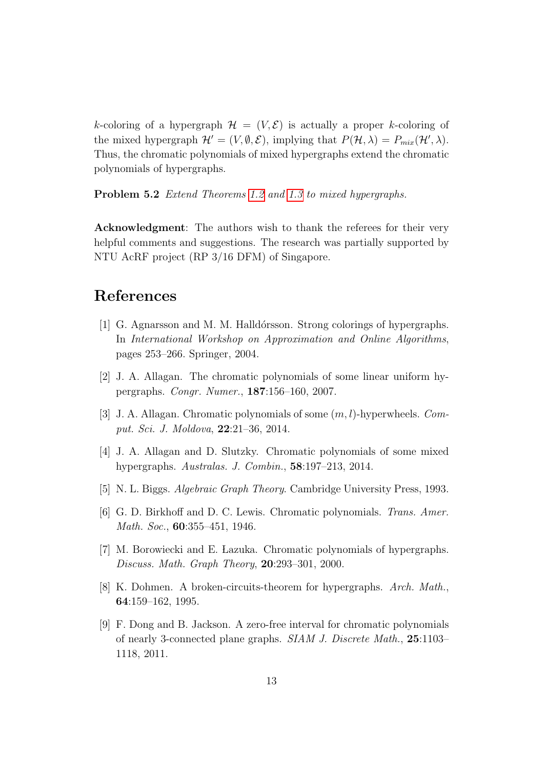k-coloring of a hypergraph  $\mathcal{H} = (V, \mathcal{E})$  is actually a proper k-coloring of the mixed hypergraph  $\mathcal{H}' = (V, \emptyset, \mathcal{E})$ , implying that  $P(\mathcal{H}, \lambda) = P_{mix}(\mathcal{H}', \lambda)$ . Thus, the chromatic polynomials of mixed hypergraphs extend the chromatic polynomials of hypergraphs.

Problem 5.2 Extend Theorems [1.2](#page-3-1) and [1.3](#page-3-2) to mixed hypergraphs.

Acknowledgment: The authors wish to thank the referees for their very helpful comments and suggestions. The research was partially supported by NTU AcRF project (RP 3/16 DFM) of Singapore.

### References

- <span id="page-12-2"></span>[1] G. Agnarsson and M. M. Halld´orsson. Strong colorings of hypergraphs. In International Workshop on Approximation and Online Algorithms, pages 253–266. Springer, 2004.
- <span id="page-12-4"></span>[2] J. A. Allagan. The chromatic polynomials of some linear uniform hypergraphs. Congr. Numer., 187:156–160, 2007.
- [3] J. A. Allagan. Chromatic polynomials of some  $(m, l)$ -hyperwheels. Comput. Sci. J. Moldova, 22:21–36, 2014.
- <span id="page-12-5"></span>[4] J. A. Allagan and D. Slutzky. Chromatic polynomials of some mixed hypergraphs. Australas. J. Combin., 58:197–213, 2014.
- <span id="page-12-7"></span>[5] N. L. Biggs. Algebraic Graph Theory. Cambridge University Press, 1993.
- <span id="page-12-0"></span>[6] G. D. Birkhoff and D. C. Lewis. Chromatic polynomials. Trans. Amer. Math. Soc., **60**:355-451, 1946.
- <span id="page-12-6"></span>[7] M. Borowiecki and E. Lazuka. Chromatic polynomials of hypergraphs. Discuss. Math. Graph Theory, 20:293–301, 2000.
- <span id="page-12-3"></span>[8] K. Dohmen. A broken-circuits-theorem for hypergraphs. Arch. Math., 64:159–162, 1995.
- <span id="page-12-1"></span>[9] F. Dong and B. Jackson. A zero-free interval for chromatic polynomials of nearly 3-connected plane graphs. SIAM J. Discrete Math., 25:1103– 1118, 2011.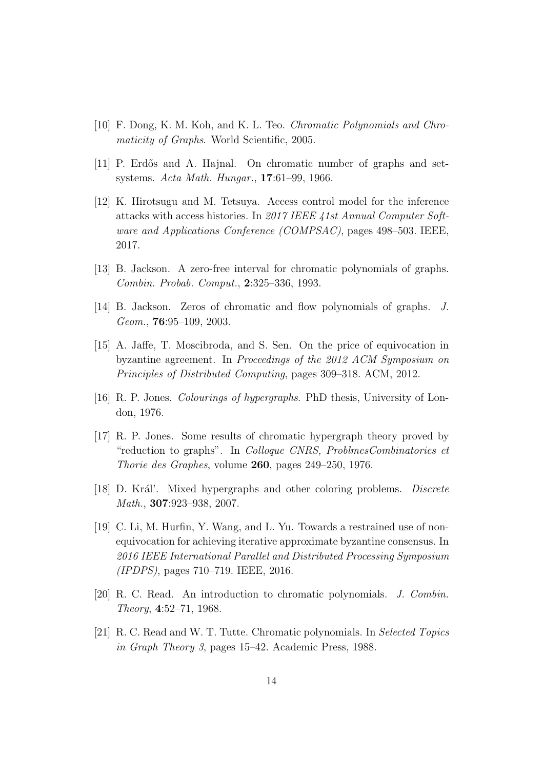- <span id="page-13-4"></span>[10] F. Dong, K. M. Koh, and K. L. Teo. Chromatic Polynomials and Chromaticity of Graphs. World Scientific, 2005.
- <span id="page-13-2"></span>[11] P. Erdős and A. Hajnal. On chromatic number of graphs and setsystems. Acta Math. Hungar., 17:61–99, 1966.
- <span id="page-13-8"></span>[12] K. Hirotsugu and M. Tetsuya. Access control model for the inference attacks with access histories. In 2017 IEEE 41st Annual Computer Software and Applications Conference (COMPSAC), pages 498–503. IEEE, 2017.
- <span id="page-13-0"></span>[13] B. Jackson. A zero-free interval for chromatic polynomials of graphs. Combin. Probab. Comput., 2:325–336, 1993.
- <span id="page-13-1"></span>[14] B. Jackson. Zeros of chromatic and flow polynomials of graphs. J. Geom., **76**:95–109, 2003.
- <span id="page-13-9"></span>[15] A. Jaffe, T. Moscibroda, and S. Sen. On the price of equivocation in byzantine agreement. In Proceedings of the 2012 ACM Symposium on Principles of Distributed Computing, pages 309–318. ACM, 2012.
- <span id="page-13-7"></span>[16] R. P. Jones. Colourings of hypergraphs. PhD thesis, University of London, 1976.
- <span id="page-13-3"></span>[17] R. P. Jones. Some results of chromatic hypergraph theory proved by "reduction to graphs". In Colloque CNRS, ProblmesCombinatories et Thorie des Graphes, volume 260, pages 249–250, 1976.
- <span id="page-13-10"></span>[18] D. Král'. Mixed hypergraphs and other coloring problems. *Discrete* Math., 307:923–938, 2007.
- <span id="page-13-11"></span>[19] C. Li, M. Hurfin, Y. Wang, and L. Yu. Towards a restrained use of nonequivocation for achieving iterative approximate byzantine consensus. In 2016 IEEE International Parallel and Distributed Processing Symposium (IPDPS), pages 710–719. IEEE, 2016.
- <span id="page-13-5"></span>[20] R. C. Read. An introduction to chromatic polynomials. J. Combin. Theory, 4:52–71, 1968.
- <span id="page-13-6"></span>[21] R. C. Read and W. T. Tutte. Chromatic polynomials. In Selected Topics in Graph Theory 3, pages 15–42. Academic Press, 1988.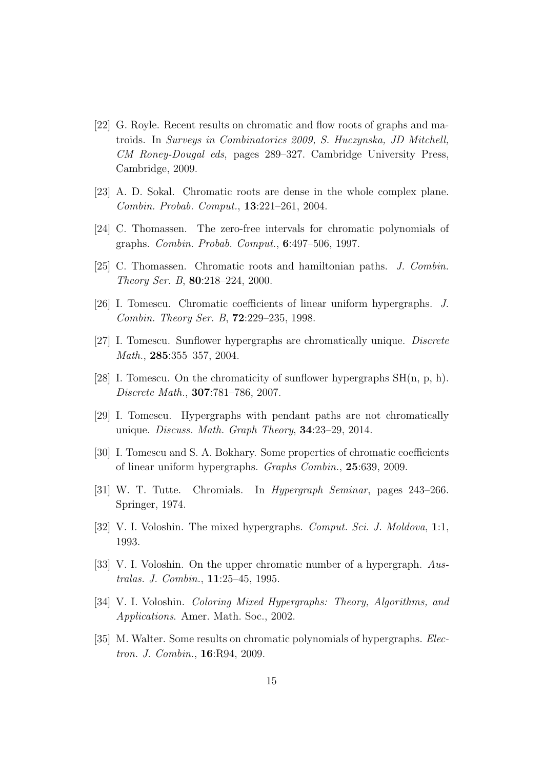- <span id="page-14-0"></span>[22] G. Royle. Recent results on chromatic and flow roots of graphs and matroids. In Surveys in Combinatorics 2009, S. Huczynska, JD Mitchell, CM Roney-Dougal eds, pages 289–327. Cambridge University Press, Cambridge, 2009.
- <span id="page-14-2"></span>[23] A. D. Sokal. Chromatic roots are dense in the whole complex plane. Combin. Probab. Comput., 13:221–261, 2004.
- <span id="page-14-1"></span>[24] C. Thomassen. The zero-free intervals for chromatic polynomials of graphs. Combin. Probab. Comput., 6:497–506, 1997.
- <span id="page-14-4"></span>[25] C. Thomassen. Chromatic roots and hamiltonian paths. J. Combin. Theory Ser. B, 80:218–224, 2000.
- <span id="page-14-6"></span>[26] I. Tomescu. Chromatic coefficients of linear uniform hypergraphs. J. Combin. Theory Ser. B, 72:229–235, 1998.
- [27] I. Tomescu. Sunflower hypergraphs are chromatically unique. Discrete Math., 285:355-357, 2004.
- [28] I. Tomescu. On the chromaticity of sunflower hypergraphs  $SH(n, p, h)$ . Discrete Math., 307:781–786, 2007.
- [29] I. Tomescu. Hypergraphs with pendant paths are not chromatically unique. Discuss. Math. Graph Theory, 34:23–29, 2014.
- <span id="page-14-7"></span>[30] I. Tomescu and S. A. Bokhary. Some properties of chromatic coefficients of linear uniform hypergraphs. Graphs Combin., 25:639, 2009.
- <span id="page-14-3"></span>[31] W. T. Tutte. Chromials. In Hypergraph Seminar, pages 243–266. Springer, 1974.
- <span id="page-14-5"></span>[32] V. I. Voloshin. The mixed hypergraphs. *Comput. Sci. J. Moldova*, 1:1, 1993.
- <span id="page-14-8"></span>[33] V. I. Voloshin. On the upper chromatic number of a hypergraph. Australas. J. Combin., 11:25–45, 1995.
- [34] V. I. Voloshin. Coloring Mixed Hypergraphs: Theory, Algorithms, and Applications. Amer. Math. Soc., 2002.
- <span id="page-14-9"></span>[35] M. Walter. Some results on chromatic polynomials of hypergraphs. Electron. J. Combin., 16:R94, 2009.